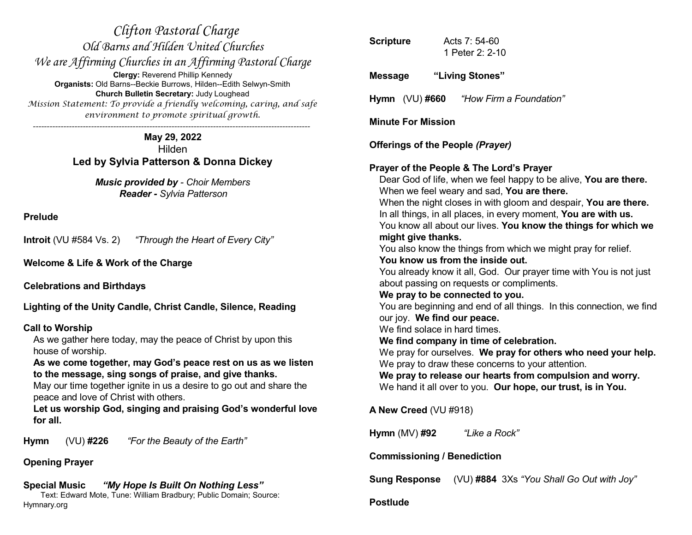*Clifton Pastoral Charge Old Barns and Hilden United Churches We are Affirming Churches in an Affirming Pastoral Charge* **Clergy:** Reverend Phillip Kennedy **Organists:** Old Barns--Beckie Burrows, Hilden--Edith Selwyn-Smith **Church Bulletin Secretary:** Judy Loughead *Mission Statement: To provide a friendly welcoming, caring, and safe environment to promote spiritual growth. ----------------------------------------------------------------------------------------------------*

> **May 29, 2022** Hilden **Led by Sylvia Patterson & Donna Dickey**

> > *Music provided by - Choir Members Reader - Sylvia Patterson*

**Prelude**

**Introit** (VU #584 Vs. 2) *"Through the Heart of Every City"*

**Welcome & Life & Work of the Charge**

**Celebrations and Birthdays**

**Lighting of the Unity Candle, Christ Candle, Silence, Reading**

### **Call to Worship**

As we gather here today, may the peace of Christ by upon this house of worship.

**As we come together, may God's peace rest on us as we listen to the message, sing songs of praise, and give thanks.**

May our time together ignite in us a desire to go out and share the peace and love of Christ with others.

**Let us worship God, singing and praising God's wonderful love for all.**

**Hymn** (VU) **#226** *"For the Beauty of the Earth"*

## **Opening Prayer**

# **Special Music** *"My Hope Is Built On Nothing Less"*

Text: Edward Mote, Tune: William Bradbury; Public Domain; Source: Hymnary.org

| <b>Scripture</b> |                                                                                    | Acts 7: 54-60<br>1 Peter 2: 2-10                                                                                                                                                                                                                                                                                                                                                                                                                                                                                                                                                                                                                                                                                                                                                                                                                                                                                                                                                                  |
|------------------|------------------------------------------------------------------------------------|---------------------------------------------------------------------------------------------------------------------------------------------------------------------------------------------------------------------------------------------------------------------------------------------------------------------------------------------------------------------------------------------------------------------------------------------------------------------------------------------------------------------------------------------------------------------------------------------------------------------------------------------------------------------------------------------------------------------------------------------------------------------------------------------------------------------------------------------------------------------------------------------------------------------------------------------------------------------------------------------------|
| <b>Message</b>   |                                                                                    | "Living Stones"                                                                                                                                                                                                                                                                                                                                                                                                                                                                                                                                                                                                                                                                                                                                                                                                                                                                                                                                                                                   |
|                  | Hymn (VU)#660                                                                      | "How Firm a Foundation"                                                                                                                                                                                                                                                                                                                                                                                                                                                                                                                                                                                                                                                                                                                                                                                                                                                                                                                                                                           |
|                  | <b>Minute For Mission</b>                                                          |                                                                                                                                                                                                                                                                                                                                                                                                                                                                                                                                                                                                                                                                                                                                                                                                                                                                                                                                                                                                   |
|                  |                                                                                    | Offerings of the People (Prayer)                                                                                                                                                                                                                                                                                                                                                                                                                                                                                                                                                                                                                                                                                                                                                                                                                                                                                                                                                                  |
|                  | might give thanks.<br>our joy. We find our peace.<br>We find solace in hard times. | Prayer of the People & The Lord's Prayer<br>Dear God of life, when we feel happy to be alive, You are there.<br>When we feel weary and sad, You are there.<br>When the night closes in with gloom and despair, You are there.<br>In all things, in all places, in every moment, You are with us.<br>You know all about our lives. You know the things for which we<br>You also know the things from which we might pray for relief.<br>You know us from the inside out.<br>You already know it all, God. Our prayer time with You is not just<br>about passing on requests or compliments.<br>We pray to be connected to you.<br>You are beginning and end of all things. In this connection, we find<br>We find company in time of celebration.<br>We pray for ourselves. We pray for others who need your help.<br>We pray to draw these concerns to your attention.<br>We pray to release our hearts from compulsion and worry.<br>We hand it all over to you. Our hope, our trust, is in You. |
|                  | <b>A New Creed (VU #918)</b>                                                       |                                                                                                                                                                                                                                                                                                                                                                                                                                                                                                                                                                                                                                                                                                                                                                                                                                                                                                                                                                                                   |
|                  | Hymn (MV) #92                                                                      | "Like a Rock"                                                                                                                                                                                                                                                                                                                                                                                                                                                                                                                                                                                                                                                                                                                                                                                                                                                                                                                                                                                     |
|                  | <b>Commissioning / Benediction</b>                                                 |                                                                                                                                                                                                                                                                                                                                                                                                                                                                                                                                                                                                                                                                                                                                                                                                                                                                                                                                                                                                   |
|                  | <b>Sung Response</b>                                                               | (VU) #884 3Xs "You Shall Go Out with Joy"                                                                                                                                                                                                                                                                                                                                                                                                                                                                                                                                                                                                                                                                                                                                                                                                                                                                                                                                                         |

**Postlude**